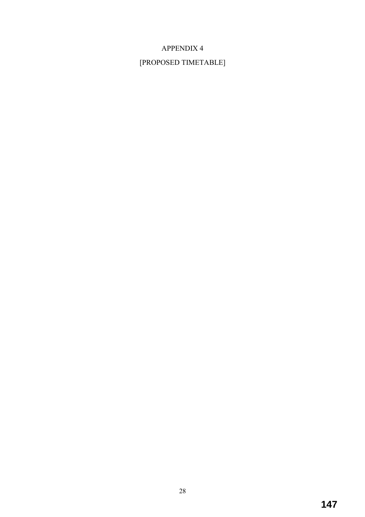## APPENDIX 4

## [PROPOSED TIMETABLE]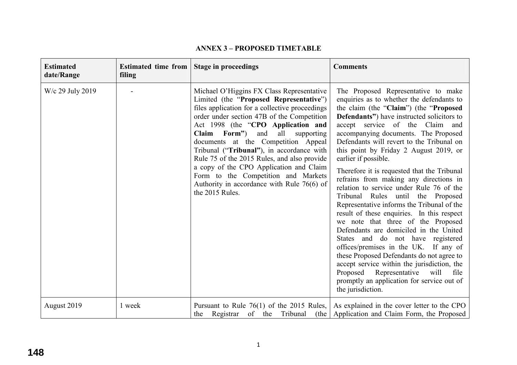|  |  | <b>ANNEX 3 - PROPOSED TIMETABLE</b> |
|--|--|-------------------------------------|
|--|--|-------------------------------------|

| <b>Estimated</b><br>date/Range | <b>Estimated time from</b><br>filing | <b>Stage in proceedings</b>                                                                                                                                                                                                                                                                                                                                                                                                                                                                                                                                    | <b>Comments</b>                                                                                                                                                                                                                                                                                                                                                                                                                                                                                                                                                                                                                                                                                                                                                                                                                                                                                                                                                                                                       |
|--------------------------------|--------------------------------------|----------------------------------------------------------------------------------------------------------------------------------------------------------------------------------------------------------------------------------------------------------------------------------------------------------------------------------------------------------------------------------------------------------------------------------------------------------------------------------------------------------------------------------------------------------------|-----------------------------------------------------------------------------------------------------------------------------------------------------------------------------------------------------------------------------------------------------------------------------------------------------------------------------------------------------------------------------------------------------------------------------------------------------------------------------------------------------------------------------------------------------------------------------------------------------------------------------------------------------------------------------------------------------------------------------------------------------------------------------------------------------------------------------------------------------------------------------------------------------------------------------------------------------------------------------------------------------------------------|
| W/c 29 July 2019               |                                      | Michael O'Higgins FX Class Representative<br>Limited (the "Proposed Representative")<br>files application for a collective proceedings<br>order under section 47B of the Competition<br>Act 1998 (the "CPO Application and<br>Claim Form")<br>all<br>and<br>supporting<br>documents at the Competition Appeal<br>Tribunal ("Tribunal"), in accordance with<br>Rule 75 of the 2015 Rules, and also provide<br>a copy of the CPO Application and Claim<br>Form to the Competition and Markets<br>Authority in accordance with Rule $76(6)$ of<br>the 2015 Rules. | The Proposed Representative to make<br>enquiries as to whether the defendants to<br>the claim (the "Claim") (the "Proposed<br><b>Defendants</b> ") have instructed solicitors to<br>accept service of the Claim and<br>accompanying documents. The Proposed<br>Defendants will revert to the Tribunal on<br>this point by Friday 2 August 2019, or<br>earlier if possible.<br>Therefore it is requested that the Tribunal<br>refrains from making any directions in<br>relation to service under Rule 76 of the<br>Tribunal Rules until the Proposed<br>Representative informs the Tribunal of the<br>result of these enquiries. In this respect<br>we note that three of the Proposed<br>Defendants are domiciled in the United<br>States and do not have registered<br>offices/premises in the UK. If any of<br>these Proposed Defendants do not agree to<br>accept service within the jurisdiction, the<br>Proposed Representative will<br>file<br>promptly an application for service out of<br>the jurisdiction. |
| August 2019                    | 1 week                               | Pursuant to Rule $76(1)$ of the 2015 Rules,<br>Registrar of the Tribunal<br>(the)<br>the                                                                                                                                                                                                                                                                                                                                                                                                                                                                       | As explained in the cover letter to the CPO<br>Application and Claim Form, the Proposed                                                                                                                                                                                                                                                                                                                                                                                                                                                                                                                                                                                                                                                                                                                                                                                                                                                                                                                               |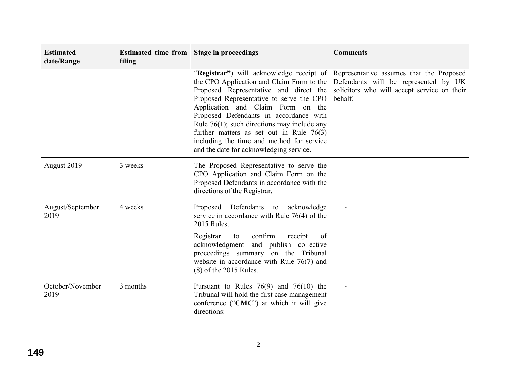| <b>Estimated</b><br>date/Range | <b>Estimated time from</b><br>filing | <b>Stage in proceedings</b>                                                                                                                                                                                                                                                                                                                                                                                                                        | <b>Comments</b>                                                                                                                            |
|--------------------------------|--------------------------------------|----------------------------------------------------------------------------------------------------------------------------------------------------------------------------------------------------------------------------------------------------------------------------------------------------------------------------------------------------------------------------------------------------------------------------------------------------|--------------------------------------------------------------------------------------------------------------------------------------------|
|                                |                                      | "Registrar") will acknowledge receipt of<br>the CPO Application and Claim Form to the<br>Proposed Representative and direct the<br>Proposed Representative to serve the CPO<br>Application and Claim Form on the<br>Proposed Defendants in accordance with<br>Rule $76(1)$ ; such directions may include any<br>further matters as set out in Rule $76(3)$<br>including the time and method for service<br>and the date for acknowledging service. | Representative assumes that the Proposed<br>Defendants will be represented by UK<br>solicitors who will accept service on their<br>behalf. |
| August 2019                    | 3 weeks                              | The Proposed Representative to serve the<br>CPO Application and Claim Form on the<br>Proposed Defendants in accordance with the<br>directions of the Registrar.                                                                                                                                                                                                                                                                                    |                                                                                                                                            |
| August/September<br>2019       | 4 weeks                              | Proposed Defendants to acknowledge<br>service in accordance with Rule $76(4)$ of the<br>2015 Rules.<br>to confirm<br>Registrar<br>receipt<br><sub>of</sub><br>acknowledgment and publish collective<br>proceedings summary on the Tribunal<br>website in accordance with Rule $76(7)$ and<br>$(8)$ of the 2015 Rules.                                                                                                                              |                                                                                                                                            |
| October/November<br>2019       | 3 months                             | Pursuant to Rules $76(9)$ and $76(10)$ the<br>Tribunal will hold the first case management<br>conference ("CMC") at which it will give<br>directions:                                                                                                                                                                                                                                                                                              |                                                                                                                                            |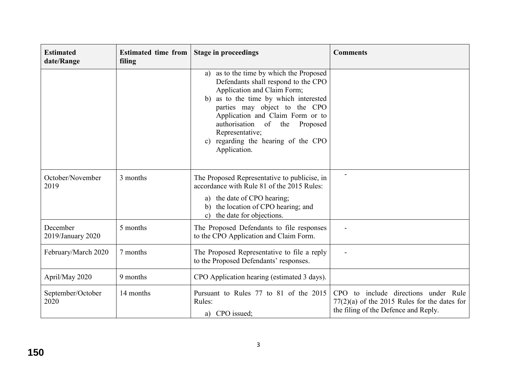| <b>Estimated</b><br>date/Range | <b>Estimated time from</b><br>filing | <b>Stage in proceedings</b>                                                                                                                                                                                                                                                                                                                                | <b>Comments</b>                                                                                                                |
|--------------------------------|--------------------------------------|------------------------------------------------------------------------------------------------------------------------------------------------------------------------------------------------------------------------------------------------------------------------------------------------------------------------------------------------------------|--------------------------------------------------------------------------------------------------------------------------------|
|                                |                                      | as to the time by which the Proposed<br>a)<br>Defendants shall respond to the CPO<br>Application and Claim Form;<br>as to the time by which interested<br>b)<br>parties may object to the CPO<br>Application and Claim Form or to<br>authorisation of the Proposed<br>Representative;<br>regarding the hearing of the CPO<br>$\mathbf{c})$<br>Application. |                                                                                                                                |
| October/November<br>2019       | 3 months                             | The Proposed Representative to publicise, in<br>accordance with Rule 81 of the 2015 Rules:<br>a) the date of CPO hearing;<br>the location of CPO hearing; and<br>b)<br>the date for objections.<br>$\mathbf{c}$                                                                                                                                            |                                                                                                                                |
| December<br>2019/January 2020  | 5 months                             | The Proposed Defendants to file responses<br>to the CPO Application and Claim Form.                                                                                                                                                                                                                                                                        |                                                                                                                                |
| February/March 2020            | 7 months                             | The Proposed Representative to file a reply<br>to the Proposed Defendants' responses.                                                                                                                                                                                                                                                                      |                                                                                                                                |
| April/May 2020                 | 9 months                             | CPO Application hearing (estimated 3 days).                                                                                                                                                                                                                                                                                                                |                                                                                                                                |
| September/October<br>2020      | 14 months                            | Pursuant to Rules 77 to 81 of the 2015<br>Rules:<br>a) CPO issued;                                                                                                                                                                                                                                                                                         | CPO to include directions under Rule<br>$77(2)(a)$ of the 2015 Rules for the dates for<br>the filing of the Defence and Reply. |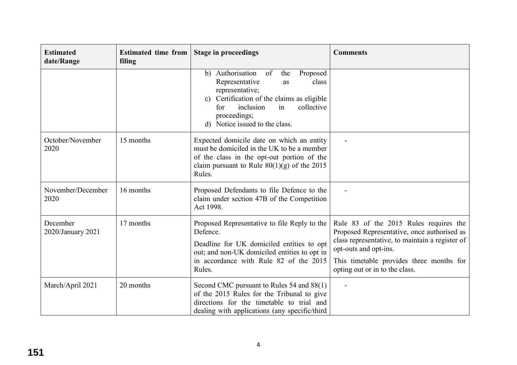| <b>Estimated</b><br>date/Range | <b>Estimated time from</b><br>filing | <b>Stage in proceedings</b>                                                                                                                                                                                                                          | <b>Comments</b>                                                                                                                                                                                                                                 |
|--------------------------------|--------------------------------------|------------------------------------------------------------------------------------------------------------------------------------------------------------------------------------------------------------------------------------------------------|-------------------------------------------------------------------------------------------------------------------------------------------------------------------------------------------------------------------------------------------------|
|                                |                                      | b) Authorisation<br>of<br>the<br>Proposed<br>Representative<br>class<br>as<br>representative;<br>Certification of the claims as eligible<br>$\mathbf{c}$ )<br>inclusion<br>collective<br>for<br>in<br>proceedings;<br>d) Notice issued to the class. |                                                                                                                                                                                                                                                 |
| October/November<br>2020       | 15 months                            | Expected domicile date on which an entity<br>must be domiciled in the UK to be a member<br>of the class in the opt-out portion of the<br>claim pursuant to Rule $80(1)(g)$ of the 2015<br>Rules.                                                     |                                                                                                                                                                                                                                                 |
| November/December<br>2020      | 16 months                            | Proposed Defendants to file Defence to the<br>claim under section 47B of the Competition<br>Act 1998.                                                                                                                                                |                                                                                                                                                                                                                                                 |
| December<br>2020/January 2021  | 17 months                            | Proposed Representative to file Reply to the<br>Defence.<br>Deadline for UK domiciled entities to opt<br>out; and non-UK domiciled entities to opt in<br>in accordance with Rule 82 of the 2015<br>Rules.                                            | Rule 83 of the 2015 Rules requires the<br>Proposed Representative, once authorised as<br>class representative, to maintain a register of<br>opt-outs and opt-ins.<br>This timetable provides three months for<br>opting out or in to the class. |
| March/April 2021               | 20 months                            | Second CMC pursuant to Rules 54 and 88(1)<br>of the 2015 Rules for the Tribunal to give<br>directions for the timetable to trial and<br>dealing with applications (any specific/third                                                                |                                                                                                                                                                                                                                                 |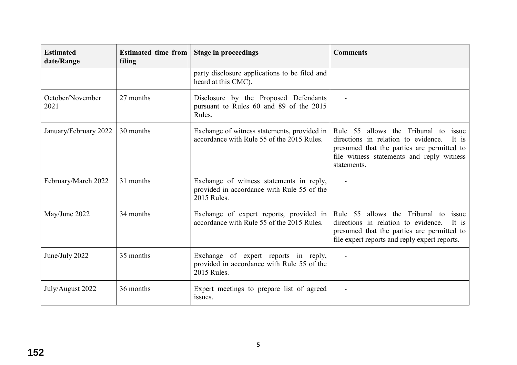| <b>Estimated</b><br>date/Range | <b>Estimated time from</b><br>filing | <b>Stage in proceedings</b>                                                                           | <b>Comments</b>                                                                                                                                                                                          |
|--------------------------------|--------------------------------------|-------------------------------------------------------------------------------------------------------|----------------------------------------------------------------------------------------------------------------------------------------------------------------------------------------------------------|
|                                |                                      | party disclosure applications to be filed and<br>heard at this CMC).                                  |                                                                                                                                                                                                          |
| October/November<br>2021       | 27 months                            | Disclosure by the Proposed Defendants<br>pursuant to Rules 60 and 89 of the 2015<br>Rules.            |                                                                                                                                                                                                          |
| January/February 2022          | 30 months                            | Exchange of witness statements, provided in<br>accordance with Rule 55 of the 2015 Rules.             | Rule 55 allows the Tribunal to<br><i>issue</i><br>directions in relation to evidence.<br>It is<br>presumed that the parties are permitted to<br>file witness statements and reply witness<br>statements. |
| February/March 2022            | 31 months                            | Exchange of witness statements in reply,<br>provided in accordance with Rule 55 of the<br>2015 Rules. |                                                                                                                                                                                                          |
| May/June 2022                  | 34 months                            | Exchange of expert reports, provided in<br>accordance with Rule 55 of the 2015 Rules.                 | Rule 55 allows the Tribunal to<br>issue<br>directions in relation to evidence.<br>It is<br>presumed that the parties are permitted to<br>file expert reports and reply expert reports.                   |
| June/July 2022                 | 35 months                            | Exchange of expert reports in reply,<br>provided in accordance with Rule 55 of the<br>2015 Rules.     |                                                                                                                                                                                                          |
| July/August 2022               | 36 months                            | Expert meetings to prepare list of agreed<br>issues.                                                  |                                                                                                                                                                                                          |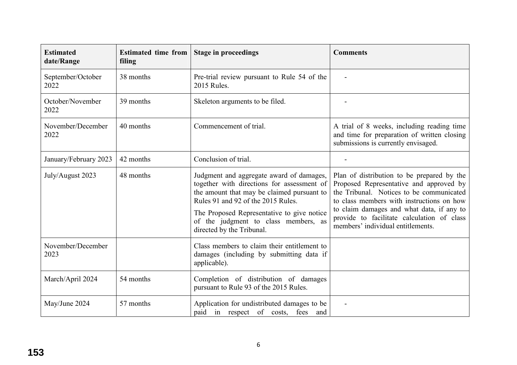| <b>Estimated</b><br>date/Range | <b>Estimated time from</b><br>filing | <b>Stage in proceedings</b>                                                                                                                                                                                                                                                                   | <b>Comments</b>                                                                                                                                                                                                                                                                                                |
|--------------------------------|--------------------------------------|-----------------------------------------------------------------------------------------------------------------------------------------------------------------------------------------------------------------------------------------------------------------------------------------------|----------------------------------------------------------------------------------------------------------------------------------------------------------------------------------------------------------------------------------------------------------------------------------------------------------------|
| September/October<br>2022      | 38 months                            | Pre-trial review pursuant to Rule 54 of the<br>2015 Rules.                                                                                                                                                                                                                                    |                                                                                                                                                                                                                                                                                                                |
| October/November<br>2022       | 39 months                            | Skeleton arguments to be filed.                                                                                                                                                                                                                                                               |                                                                                                                                                                                                                                                                                                                |
| November/December<br>2022      | 40 months                            | Commencement of trial.                                                                                                                                                                                                                                                                        | A trial of 8 weeks, including reading time<br>and time for preparation of written closing<br>submissions is currently envisaged.                                                                                                                                                                               |
| January/February 2023          | 42 months                            | Conclusion of trial.                                                                                                                                                                                                                                                                          |                                                                                                                                                                                                                                                                                                                |
| July/August 2023               | 48 months                            | Judgment and aggregate award of damages,<br>together with directions for assessment of<br>the amount that may be claimed pursuant to<br>Rules 91 and 92 of the 2015 Rules.<br>The Proposed Representative to give notice<br>of the judgment to class members, as<br>directed by the Tribunal. | Plan of distribution to be prepared by the<br>Proposed Representative and approved by<br>the Tribunal. Notices to be communicated<br>to class members with instructions on how<br>to claim damages and what data, if any to<br>provide to facilitate calculation of class<br>members' individual entitlements. |
| November/December<br>2023      |                                      | Class members to claim their entitlement to<br>damages (including by submitting data if<br>applicable).                                                                                                                                                                                       |                                                                                                                                                                                                                                                                                                                |
| March/April 2024               | 54 months                            | Completion of distribution of damages<br>pursuant to Rule 93 of the 2015 Rules.                                                                                                                                                                                                               |                                                                                                                                                                                                                                                                                                                |
| May/June 2024                  | 57 months                            | Application for undistributed damages to be<br>paid in respect of costs, fees and                                                                                                                                                                                                             |                                                                                                                                                                                                                                                                                                                |